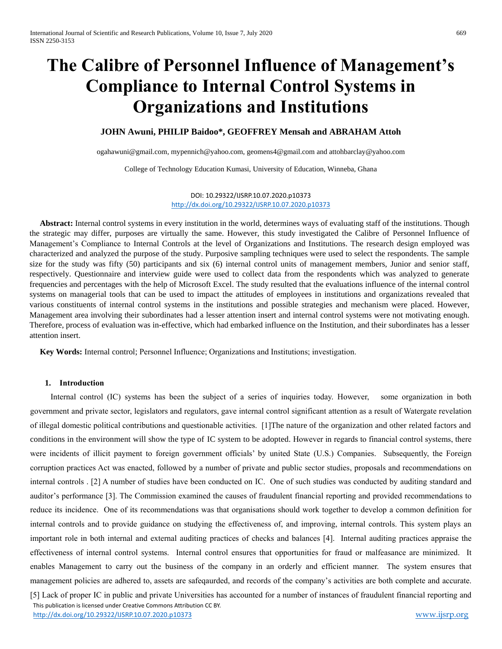# **The Calibre of Personnel Influence of Management's Compliance to Internal Control Systems in Organizations and Institutions**

# **JOHN Awuni, PHILIP Baidoo\*, GEOFFREY Mensah and ABRAHAM Attoh**

[ogahawuni@gmail.com,](mailto:ogahawuni@gmail.com) [mypennich@yahoo.com,](mailto:mypennich@yahoo.com) [geomens4@gmail.com](mailto:geomens4@gmail.com) and [attohbarclay@yahoo.com](mailto:attohbarclay@yahoo.com)

College of Technology Education Kumasi, University of Education, Winneba, Ghana

DOI: 10.29322/IJSRP.10.07.2020.p10373 <http://dx.doi.org/10.29322/IJSRP.10.07.2020.p10373>

 **Abstract:** Internal control systems in every institution in the world, determines ways of evaluating staff of the institutions. Though the strategic may differ, purposes are virtually the same. However, this study investigated the Calibre of Personnel Influence of Management's Compliance to Internal Controls at the level of Organizations and Institutions. The research design employed was characterized and analyzed the purpose of the study. Purposive sampling techniques were used to select the respondents. The sample size for the study was fifty (50) participants and six (6) internal control units of management members, Junior and senior staff, respectively. Questionnaire and interview guide were used to collect data from the respondents which was analyzed to generate frequencies and percentages with the help of Microsoft Excel. The study resulted that the evaluations influence of the internal control systems on managerial tools that can be used to impact the attitudes of employees in institutions and organizations revealed that various constituents of internal control systems in the institutions and possible strategies and mechanism were placed. However, Management area involving their subordinates had a lesser attention insert and internal control systems were not motivating enough. Therefore, process of evaluation was in-effective, which had embarked influence on the Institution, and their subordinates has a lesser attention insert.

 **Key Words:** Internal control; Personnel Influence; Organizations and Institutions; investigation.

## **1. Introduction**

 This publication is licensed under Creative Commons Attribution CC BY. Internal control (IC) systems has been the subject of a series of inquiries today. However, some organization in both government and private sector, legislators and regulators, gave internal control significant attention as a result of Watergate revelation of illegal domestic political contributions and questionable activities. [1]The nature of the organization and other related factors and conditions in the environment will show the type of IC system to be adopted. However in regards to financial control systems, there were incidents of illicit payment to foreign government officials' by united State (U.S.) Companies. Subsequently, the Foreign corruption practices Act was enacted, followed by a number of private and public sector studies, proposals and recommendations on internal controls . [2] A number of studies have been conducted on IC. One of such studies was conducted by auditing standard and auditor's performance [3]. The Commission examined the causes of fraudulent financial reporting and provided recommendations to reduce its incidence. One of its recommendations was that organisations should work together to develop a common definition for internal controls and to provide guidance on studying the effectiveness of, and improving, internal controls. This system plays an important role in both internal and external auditing practices of checks and balances [4]. Internal auditing practices appraise the effectiveness of internal control systems. Internal control ensures that opportunities for fraud or malfeasance are minimized. It enables Management to carry out the business of the company in an orderly and efficient manner. The system ensures that management policies are adhered to, assets are safeqaurded, and records of the company's activities are both complete and accurate. [5] Lack of proper IC in public and private Universities has accounted for a number of instances of fraudulent financial reporting and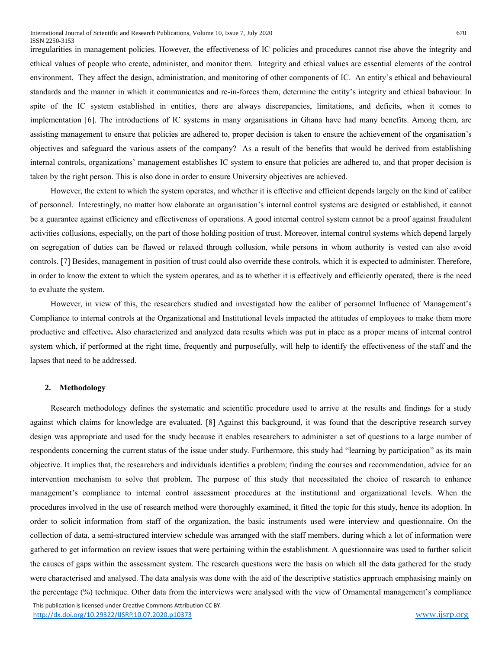irregularities in management policies. However, the effectiveness of IC policies and procedures cannot rise above the integrity and ethical values of people who create, administer, and monitor them. Integrity and ethical values are essential elements of the control environment. They affect the design, administration, and monitoring of other components of IC. An entity's ethical and behavioural standards and the manner in which it communicates and re-in-forces them, determine the entity's integrity and ethical bahaviour. In spite of the IC system established in entities, there are always discrepancies, limitations, and deficits, when it comes to implementation [6]. The introductions of IC systems in many organisations in Ghana have had many benefits. Among them, are assisting management to ensure that policies are adhered to, proper decision is taken to ensure the achievement of the organisation's objectives and safeguard the various assets of the company? As a result of the benefits that would be derived from establishing internal controls, organizations' management establishes IC system to ensure that policies are adhered to, and that proper decision is taken by the right person. This is also done in order to ensure University objectives are achieved.

 However, the extent to which the system operates, and whether it is effective and efficient depends largely on the kind of caliber of personnel. Interestingly, no matter how elaborate an organisation's internal control systems are designed or established, it cannot be a guarantee against efficiency and effectiveness of operations. A good internal control system cannot be a proof against fraudulent activities collusions, especially, on the part of those holding position of trust. Moreover, internal control systems which depend largely on segregation of duties can be flawed or relaxed through collusion, while persons in whom authority is vested can also avoid controls. [7] Besides, management in position of trust could also override these controls, which it is expected to administer. Therefore, in order to know the extent to which the system operates, and as to whether it is effectively and efficiently operated, there is the need to evaluate the system.

 However, in view of this, the researchers studied and investigated how the caliber of personnel Influence of Management's Compliance to internal controls at the Organizational and Institutional levels impacted the attitudes of employees to make them more productive and effective**.** Also characterized and analyzed data results which was put in place as a proper means of internal control system which, if performed at the right time, frequently and purposefully, will help to identify the effectiveness of the staff and the lapses that need to be addressed.

#### **2. Methodology**

 Research methodology defines the systematic and scientific procedure used to arrive at the results and findings for a study against which claims for knowledge are evaluated. [8] Against this background, it was found that the descriptive research survey design was appropriate and used for the study because it enables researchers to administer a set of questions to a large number of respondents concerning the current status of the issue under study. Furthermore, this study had "learning by participation" as its main objective. It implies that, the researchers and individuals identifies a problem; finding the courses and recommendation, advice for an intervention mechanism to solve that problem. The purpose of this study that necessitated the choice of research to enhance management's compliance to internal control assessment procedures at the institutional and organizational levels. When the procedures involved in the use of research method were thoroughly examined, it fitted the topic for this study, hence its adoption. In order to solicit information from staff of the organization, the basic instruments used were interview and questionnaire. On the collection of data, a semi-structured interview schedule was arranged with the staff members, during which a lot of information were gathered to get information on review issues that were pertaining within the establishment. A questionnaire was used to further solicit the causes of gaps within the assessment system. The research questions were the basis on which all the data gathered for the study were characterised and analysed. The data analysis was done with the aid of the descriptive statistics approach emphasising mainly on the percentage (%) technique. Other data from the interviews were analysed with the view of Ornamental management's compliance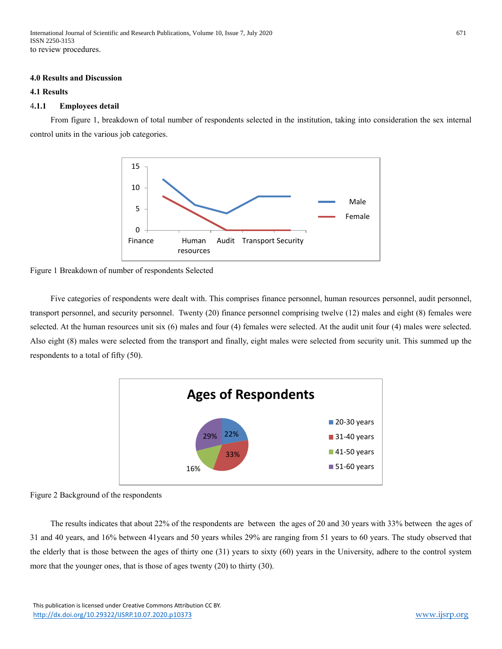International Journal of Scientific and Research Publications, Volume 10, Issue 7, July 2020 671 ISSN 2250-3153 to review procedures.

#### **4.0 Results and Discussion**

## **4.1 Results**

#### 4**.1.1 Employees detail**

 From figure 1, breakdown of total number of respondents selected in the institution, taking into consideration the sex internal control units in the various job categories.



Figure 1 Breakdown of number of respondents Selected

 Five categories of respondents were dealt with. This comprises finance personnel, human resources personnel, audit personnel, transport personnel, and security personnel. Twenty (20) finance personnel comprising twelve (12) males and eight (8) females were selected. At the human resources unit six (6) males and four (4) females were selected. At the audit unit four (4) males were selected. Also eight (8) males were selected from the transport and finally, eight males were selected from security unit. This summed up the respondents to a total of fifty (50).



Figure 2 Background of the respondents

 The results indicates that about 22% of the respondents are between the ages of 20 and 30 years with 33% between the ages of 31 and 40 years, and 16% between 41years and 50 years whiles 29% are ranging from 51 years to 60 years. The study observed that the elderly that is those between the ages of thirty one (31) years to sixty (60) years in the University, adhere to the control system more that the younger ones, that is those of ages twenty (20) to thirty (30).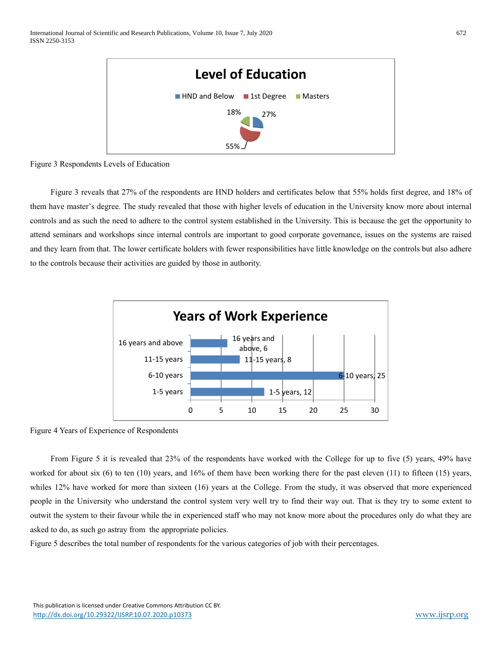

Figure 3 Respondents Levels of Education

 Figure 3 reveals that 27% of the respondents are HND holders and certificates below that 55% holds first degree, and 18% of them have master's degree. The study revealed that those with higher levels of education in the University know more about internal controls and as such the need to adhere to the control system established in the University. This is because the get the opportunity to attend seminars and workshops since internal controls are important to good corporate governance, issues on the systems are raised and they learn from that. The lower certificate holders with fewer responsibilities have little knowledge on the controls but also adhere to the controls because their activities are guided by those in authority.



Figure 4 Years of Experience of Respondents

 From Figure 5 it is revealed that 23% of the respondents have worked with the College for up to five (5) years, 49% have worked for about six  $(6)$  to ten  $(10)$  years, and  $16\%$  of them have been working there for the past eleven  $(11)$  to fifteen  $(15)$  years, whiles 12% have worked for more than sixteen (16) years at the College. From the study, it was observed that more experienced people in the University who understand the control system very well try to find their way out. That is they try to some extent to outwit the system to their favour while the in experienced staff who may not know more about the procedures only do what they are asked to do, as such go astray from the appropriate policies.

Figure 5 describes the total number of respondents for the various categories of job with their percentages.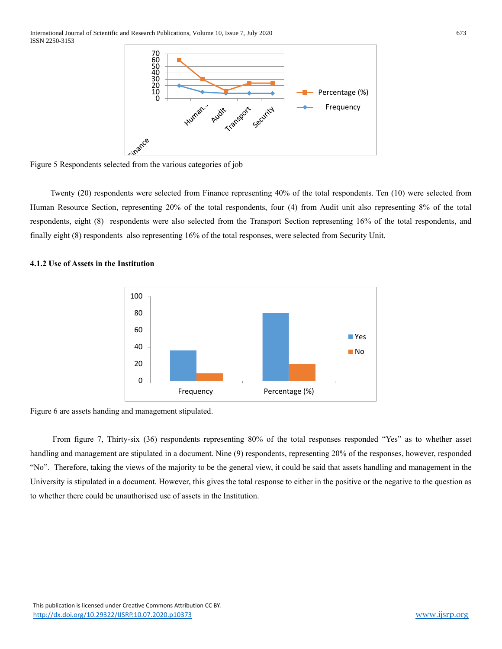

Figure 5 Respondents selected from the various categories of job

 Twenty (20) respondents were selected from Finance representing 40% of the total respondents. Ten (10) were selected from Human Resource Section, representing 20% of the total respondents, four (4) from Audit unit also representing 8% of the total respondents, eight (8) respondents were also selected from the Transport Section representing 16% of the total respondents, and finally eight (8) respondents also representing 16% of the total responses, were selected from Security Unit.



# **4.1.2 Use of Assets in the Institution**

Figure 6 are assets handing and management stipulated.

 From figure 7, Thirty-six (36) respondents representing 80% of the total responses responded "Yes" as to whether asset handling and management are stipulated in a document. Nine (9) respondents, representing 20% of the responses, however, responded "No". Therefore, taking the views of the majority to be the general view, it could be said that assets handling and management in the University is stipulated in a document. However, this gives the total response to either in the positive or the negative to the question as to whether there could be unauthorised use of assets in the Institution.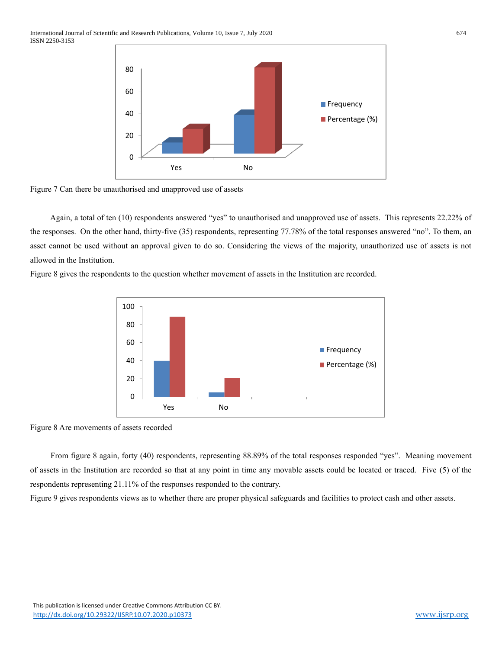

Figure 7 Can there be unauthorised and unapproved use of assets

 Again, a total of ten (10) respondents answered "yes" to unauthorised and unapproved use of assets. This represents 22.22% of the responses. On the other hand, thirty-five (35) respondents, representing 77.78% of the total responses answered "no". To them, an asset cannot be used without an approval given to do so. Considering the views of the majority, unauthorized use of assets is not allowed in the Institution.

Figure 8 gives the respondents to the question whether movement of assets in the Institution are recorded.



Figure 8 Are movements of assets recorded

 From figure 8 again, forty (40) respondents, representing 88.89% of the total responses responded "yes". Meaning movement of assets in the Institution are recorded so that at any point in time any movable assets could be located or traced. Five (5) of the respondents representing 21.11% of the responses responded to the contrary.

Figure 9 gives respondents views as to whether there are proper physical safeguards and facilities to protect cash and other assets.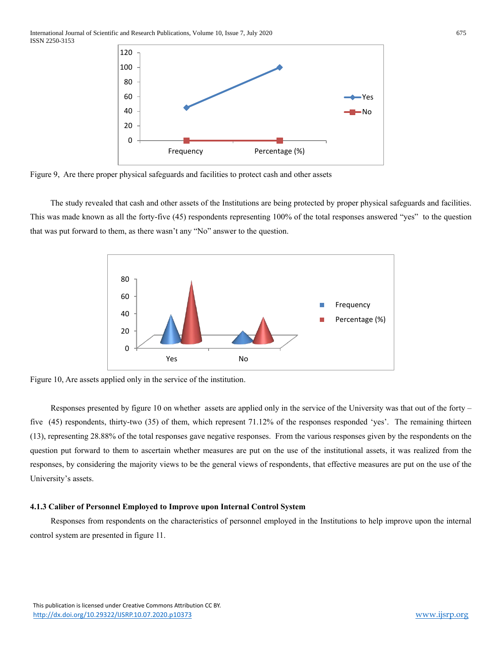

Figure 9, Are there proper physical safeguards and facilities to protect cash and other assets

 The study revealed that cash and other assets of the Institutions are being protected by proper physical safeguards and facilities. This was made known as all the forty-five (45) respondents representing 100% of the total responses answered "yes" to the question that was put forward to them, as there wasn't any "No" answer to the question.



Figure 10, Are assets applied only in the service of the institution.

 Responses presented by figure 10 on whether assets are applied only in the service of the University was that out of the forty – five (45) respondents, thirty-two (35) of them, which represent 71.12% of the responses responded 'yes'. The remaining thirteen (13), representing 28.88% of the total responses gave negative responses. From the various responses given by the respondents on the question put forward to them to ascertain whether measures are put on the use of the institutional assets, it was realized from the responses, by considering the majority views to be the general views of respondents, that effective measures are put on the use of the University's assets.

### **4.1.3 Caliber of Personnel Employed to Improve upon Internal Control System**

 Responses from respondents on the characteristics of personnel employed in the Institutions to help improve upon the internal control system are presented in figure 11.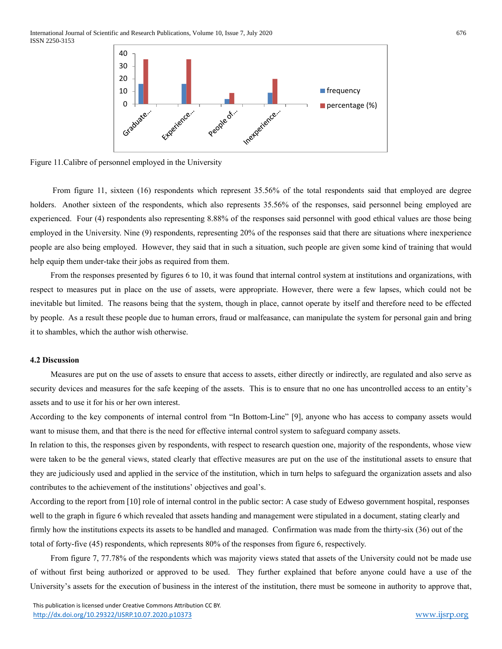

Figure 11.Calibre of personnel employed in the University

From figure 11, sixteen (16) respondents which represent 35.56% of the total respondents said that employed are degree holders. Another sixteen of the respondents, which also represents 35.56% of the responses, said personnel being employed are experienced. Four (4) respondents also representing 8.88% of the responses said personnel with good ethical values are those being employed in the University. Nine (9) respondents, representing 20% of the responses said that there are situations where inexperience people are also being employed. However, they said that in such a situation, such people are given some kind of training that would help equip them under-take their jobs as required from them.

 From the responses presented by figures 6 to 10, it was found that internal control system at institutions and organizations, with respect to measures put in place on the use of assets, were appropriate. However, there were a few lapses, which could not be inevitable but limited. The reasons being that the system, though in place, cannot operate by itself and therefore need to be effected by people. As a result these people due to human errors, fraud or malfeasance, can manipulate the system for personal gain and bring it to shambles, which the author wish otherwise.

## **4.2 Discussion**

 Measures are put on the use of assets to ensure that access to assets, either directly or indirectly, are regulated and also serve as security devices and measures for the safe keeping of the assets. This is to ensure that no one has uncontrolled access to an entity's assets and to use it for his or her own interest.

According to the key components of internal control from "In Bottom-Line" [9], anyone who has access to company assets would want to misuse them, and that there is the need for effective internal control system to safeguard company assets.

In relation to this, the responses given by respondents, with respect to research question one, majority of the respondents, whose view were taken to be the general views, stated clearly that effective measures are put on the use of the institutional assets to ensure that they are judiciously used and applied in the service of the institution, which in turn helps to safeguard the organization assets and also contributes to the achievement of the institutions' objectives and goal's.

According to the report from [10] role of internal control in the public sector: A case study of Edweso government hospital, responses well to the graph in figure 6 which revealed that assets handing and management were stipulated in a document, stating clearly and firmly how the institutions expects its assets to be handled and managed. Confirmation was made from the thirty-six (36) out of the total of forty-five (45) respondents, which represents 80% of the responses from figure 6, respectively.

 From figure 7, 77.78% of the respondents which was majority views stated that assets of the University could not be made use of without first being authorized or approved to be used. They further explained that before anyone could have a use of the University's assets for the execution of business in the interest of the institution, there must be someone in authority to approve that,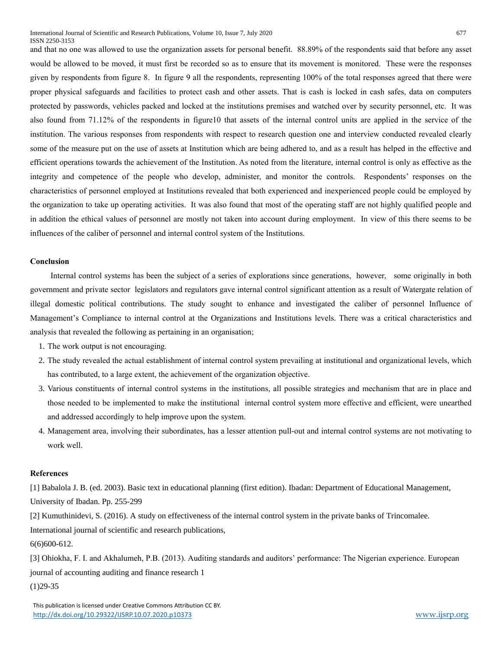and that no one was allowed to use the organization assets for personal benefit. 88.89% of the respondents said that before any asset would be allowed to be moved, it must first be recorded so as to ensure that its movement is monitored. These were the responses given by respondents from figure 8. In figure 9 all the respondents, representing 100% of the total responses agreed that there were proper physical safeguards and facilities to protect cash and other assets. That is cash is locked in cash safes, data on computers protected by passwords, vehicles packed and locked at the institutions premises and watched over by security personnel, etc. It was also found from 71.12% of the respondents in figure10 that assets of the internal control units are applied in the service of the institution. The various responses from respondents with respect to research question one and interview conducted revealed clearly some of the measure put on the use of assets at Institution which are being adhered to, and as a result has helped in the effective and efficient operations towards the achievement of the Institution. As noted from the literature, internal control is only as effective as the integrity and competence of the people who develop, administer, and monitor the controls. Respondents' responses on the characteristics of personnel employed at Institutions revealed that both experienced and inexperienced people could be employed by the organization to take up operating activities. It was also found that most of the operating staff are not highly qualified people and in addition the ethical values of personnel are mostly not taken into account during employment. In view of this there seems to be influences of the caliber of personnel and internal control system of the Institutions.

## **Conclusion**

 Internal control systems has been the subject of a series of explorations since generations, however, some originally in both government and private sector legislators and regulators gave internal control significant attention as a result of Watergate relation of illegal domestic political contributions. The study sought to enhance and investigated the caliber of personnel Influence of Management's Compliance to internal control at the Organizations and Institutions levels. There was a critical characteristics and analysis that revealed the following as pertaining in an organisation;

- 1. The work output is not encouraging.
- 2. The study revealed the actual establishment of internal control system prevailing at institutional and organizational levels, which has contributed, to a large extent, the achievement of the organization objective.
- 3. Various constituents of internal control systems in the institutions, all possible strategies and mechanism that are in place and those needed to be implemented to make the institutional internal control system more effective and efficient, were unearthed and addressed accordingly to help improve upon the system.
- 4. Management area, involving their subordinates, has a lesser attention pull-out and internal control systems are not motivating to work well.

# **References**

[1] Babalola J. B. (ed. 2003). Basic text in educational planning (first edition). Ibadan: Department of Educational Management, University of Ibadan. Pp. 255-299

[2] Kumuthinidevi, S. (2016). A study on effectiveness of the internal control system in the private banks of Trincomalee.

International journal of scientific and research publications,

6(6)600-612.

[3] Ohiokha, F. I. and Akhalumeh, P.B. (2013). Auditing standards and auditors' performance: The Nigerian experience. European journal of accounting auditing and finance research 1

(1)29-35